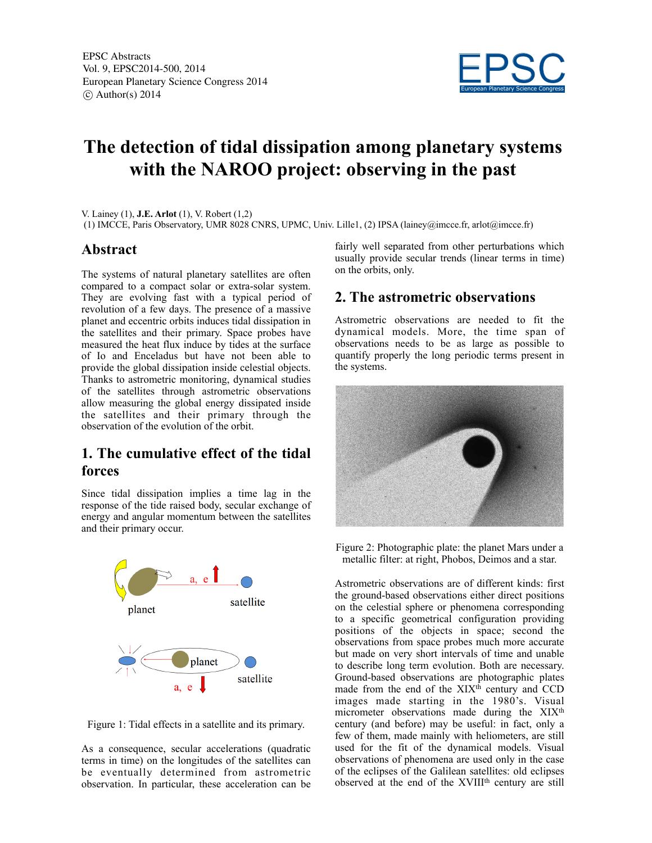

# **The detection of tidal dissipation among planetary systems with the NAROO project: observing in the past**

V. Lainey (1), **J.E. Arlot** (1), V. Robert (1,2)

(1) IMCCE, Paris Observatory, UMR 8028 CNRS, UPMC, Univ. Lille1, (2) IPSA (lainey@imcce.fr, arlot@imcce.fr)

### **Abstract**

The systems of natural planetary satellites are often compared to a compact solar or extra-solar system. They are evolving fast with a typical period of revolution of a few days. The presence of a massive planet and eccentric orbits induces tidal dissipation in the satellites and their primary. Space probes have measured the heat flux induce by tides at the surface of Io and Enceladus but have not been able to provide the global dissipation inside celestial objects. Thanks to astrometric monitoring, dynamical studies of the satellites through astrometric observations allow measuring the global energy dissipated inside the satellites and their primary through the observation of the evolution of the orbit.

# **1. The cumulative effect of the tidal forces**

Since tidal dissipation implies a time lag in the response of the tide raised body, secular exchange of energy and angular momentum between the satellites and their primary occur.



Figure 1: Tidal effects in a satellite and its primary.

As a consequence, secular accelerations (quadratic terms in time) on the longitudes of the satellites can be eventually determined from astrometric observation. In particular, these acceleration can be

fairly well separated from other perturbations which usually provide secular trends (linear terms in time) on the orbits, only.

## **2. The astrometric observations**

Astrometric observations are needed to fit the dynamical models. More, the time span of observations needs to be as large as possible to quantify properly the long periodic terms present in the systems.



Figure 2: Photographic plate: the planet Mars under a metallic filter: at right, Phobos, Deimos and a star.

Astrometric observations are of different kinds: first the ground-based observations either direct positions on the celestial sphere or phenomena corresponding to a specific geometrical configuration providing positions of the objects in space; second the observations from space probes much more accurate but made on very short intervals of time and unable to describe long term evolution. Both are necessary. Ground-based observations are photographic plates made from the end of the XIX<sup>th</sup> century and CCD images made starting in the 1980's. Visual micrometer observations made during the XIX<sup>th</sup> century (and before) may be useful: in fact, only a few of them, made mainly with heliometers, are still used for the fit of the dynamical models. Visual observations of phenomena are used only in the case of the eclipses of the Galilean satellites: old eclipses observed at the end of the XVIII<sup>th</sup> century are still